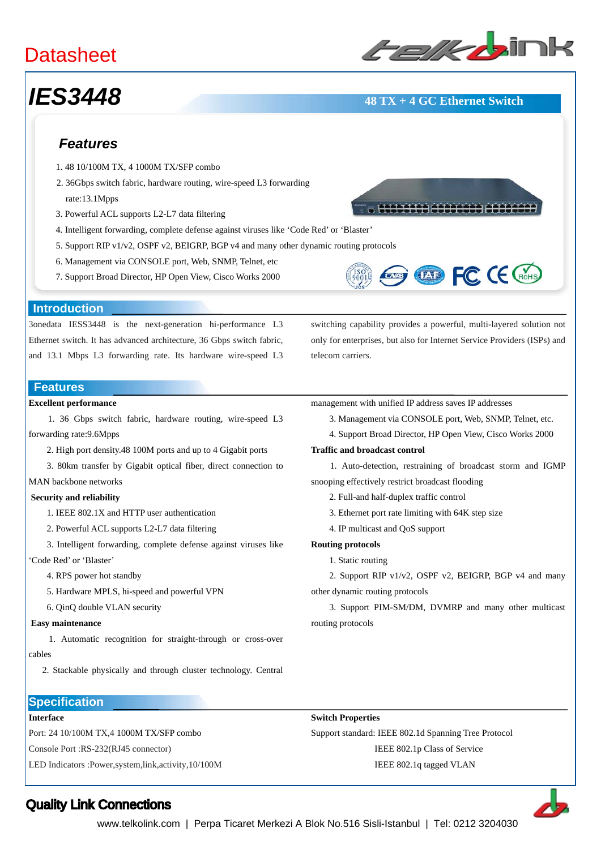# **Datasheet**



# *IES3448* **48 TX + 4 GC Ethernet Switch**

## *Features*

- 1. 48 10/100M TX, 4 1000M TX/SFP combo
- 2. 36Gbps switch fabric, hardware routing, wire-speed L3 forwarding rate:13.1Mpps
- 3. Powerful ACL supports L2-L7 data filtering
- 4. Intelligent forwarding, complete defense against viruses like 'Code Red' or 'Blaster'
- 5. Support RIP v1/v2, OSPF v2, BEIGRP, BGP v4 and many other dynamic routing protocols
- 6. Management via CONSOLE port, Web, SNMP, Telnet, etc
- 7. Support Broad Director, HP Open View, Cisco Works 2000



switching capability provides a powerful, multi-layered solution not only for enterprises, but also for Internet Service Providers (ISPs) and

#### **Introduction**

3onedata IESS3448 is the next-generation hi-performance L3 Ethernet switch. It has advanced architecture, 36 Gbps switch fabric, and 13.1 Mbps L3 forwarding rate. Its hardware wire-speed L3

#### **Features**

### **Excellent performance**

 1. 36 Gbps switch fabric, hardware routing, wire-speed L3 forwarding rate:9.6Mpps

- 2. High port density.48 100M ports and up to 4 Gigabit ports
- 3. 80km transfer by Gigabit optical fiber, direct connection to

## MAN backbone networks

#### **Security and reliability**

- 1. IEEE 802.1X and HTTP user authentication
- 2. Powerful ACL supports L2-L7 data filtering
- 3. Intelligent forwarding, complete defense against viruses like 'Code Red' or 'Blaster'
	- 4. RPS power hot standby
	- 5. Hardware MPLS, hi-speed and powerful VPN
	- 6. QinQ double VLAN security

#### **Easy maintenance**

 1. Automatic recognition for straight-through or cross-over cables

2. Stackable physically and through cluster technology. Central

- management with unified IP address saves IP addresses
	- 3. Management via CONSOLE port, Web, SNMP, Telnet, etc.
	- 4. Support Broad Director, HP Open View, Cisco Works 2000

#### **Traffic and broadcast control**

 1. Auto-detection, restraining of broadcast storm and IGMP snooping effectively restrict broadcast flooding

- 2. Full-and half-duplex traffic control
- 3. Ethernet port rate limiting with 64K step size
- 4. IP multicast and QoS support

#### **Routing protocols**

telecom carriers.

1. Static routing

2. Support RIP v1/v2, OSPF v2, BEIGRP, BGP v4 and many other dynamic routing protocols

3. Support PIM-SM/DM, DVMRP and many other multicast routing protocols,

### **Specification**

### **Interface**

Port: 24 10/100M TX,4 1000M TX/SFP combo

Console Port :RS-232(RJ45 connector)

LED Indicators :Power,system,link,activity,10/100M

#### **Switch Properties**

Support standard: IEEE 802.1d Spanning Tree Protocol IEEE 802.1p Class of Service IEEE 802.1q tagged VLAN